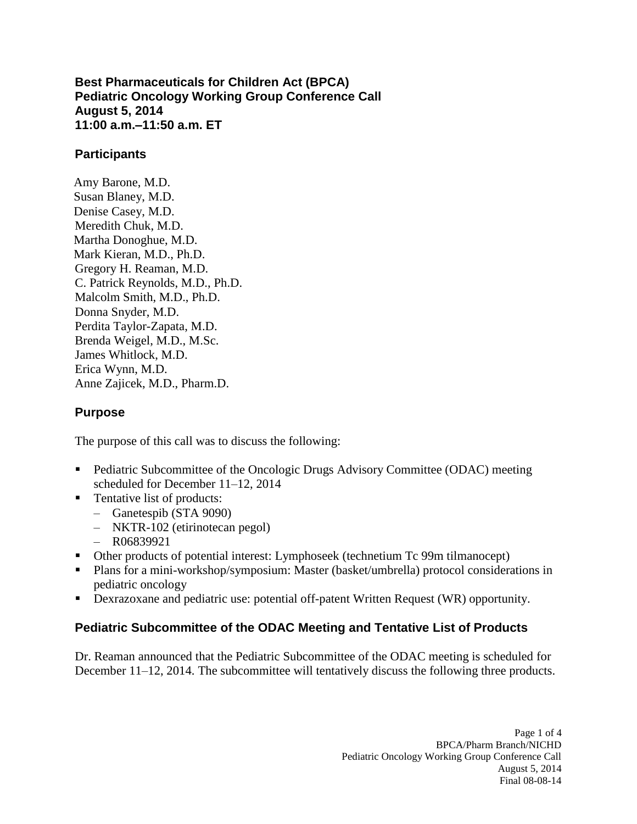**11:00 a.m.–11:50 a.m. ET Best Pharmaceuticals for Children Act (BPCA) Pediatric Oncology Working Group Conference Call August 5, 2014** 

### **Participants**

Amy Barone, M.D. Susan Blaney, M.D. Denise Casey, M.D. Meredith Chuk, M.D. Martha Donoghue, M.D. Mark Kieran, M.D., Ph.D. Gregory H. Reaman, M.D. C. Patrick Reynolds, M.D., Ph.D. Malcolm Smith, M.D., Ph.D. Donna Snyder, M.D. Perdita Taylor-Zapata, M.D. Brenda Weigel, M.D., M.Sc. James Whitlock, M.D. Erica Wynn, M.D. Anne Zajicek, M.D., Pharm.D.

# **Purpose**

The purpose of this call was to discuss the following:

- **Pediatric Subcommittee of the Oncologic Drugs Advisory Committee (ODAC) meeting** scheduled for December 11–12, 2014
- Tentative list of products:
	- – Ganetespib (STA 9090)
	- – NKTR-102 (etirinotecan pegol)
	- $-$  R06839921
- Other products of potential interest: Lymphoseek (technetium Tc 99m tilmanocept)
- Plans for a mini-workshop/symposium: Master (basket/umbrella) protocol considerations in pediatric oncology
- **-** Dexrazoxane and pediatric use: potential off-patent Written Request (WR) opportunity.

# **Pediatric Subcommittee of the ODAC Meeting and Tentative List of Products**

Dr. Reaman announced that the Pediatric Subcommittee of the ODAC meeting is scheduled for December 11–12, 2014. The subcommittee will tentatively discuss the following three products.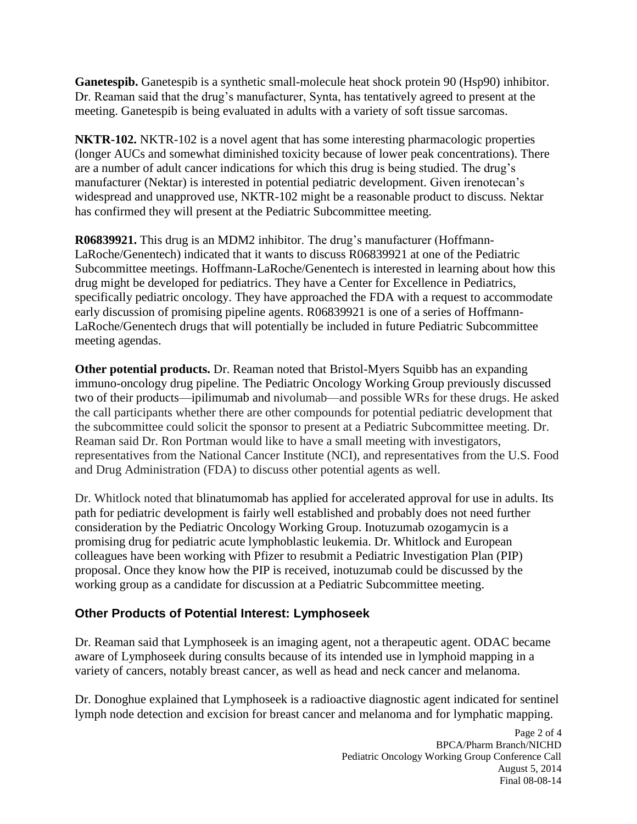Dr. Reaman said that the drug's manufacturer, Synta, has tentatively agreed to present at the **Ganetespib.** Ganetespib is a synthetic small-molecule heat shock protein 90 (Hsp90) inhibitor. meeting. Ganetespib is being evaluated in adults with a variety of soft tissue sarcomas.

 **NKTR-102.** NKTR-102 is a novel agent that has some interesting pharmacologic properties (longer AUCs and somewhat diminished toxicity because of lower peak concentrations). There widespread and unapproved use, NKTR-102 might be a reasonable product to discuss. Nektar are a number of adult cancer indications for which this drug is being studied. The drug's manufacturer (Nektar) is interested in potential pediatric development. Given irenotecan's has confirmed they will present at the Pediatric Subcommittee meeting.

 meeting agendas. **R06839921.** This drug is an MDM2 inhibitor. The drug's manufacturer (Hoffmann-LaRoche/Genentech) indicated that it wants to discuss R06839921 at one of the Pediatric Subcommittee meetings. Hoffmann-LaRoche/Genentech is interested in learning about how this drug might be developed for pediatrics. They have a Center for Excellence in Pediatrics, specifically pediatric oncology. They have approached the FDA with a request to accommodate early discussion of promising pipeline agents. R06839921 is one of a series of Hoffmann-LaRoche/Genentech drugs that will potentially be included in future Pediatric Subcommittee

 immuno-oncology drug pipeline. The Pediatric Oncology Working Group previously discussed two of their products––ipilimumab and nivolumab––and possible WRs for these drugs. He asked the call participants whether there are other compounds for potential pediatric development that the subcommittee could solicit the sponsor to present at a Pediatric Subcommittee meeting. Dr. and Drug Administration (FDA) to discuss other potential agents as well. **Other potential products.** Dr. Reaman noted that Bristol-Myers Squibb has an expanding Reaman said Dr. Ron Portman would like to have a small meeting with investigators, representatives from the National Cancer Institute (NCI), and representatives from the U.S. Food

 working group as a candidate for discussion at a Pediatric Subcommittee meeting. Dr. Whitlock noted that blinatumomab has applied for accelerated approval for use in adults. Its path for pediatric development is fairly well established and probably does not need further consideration by the Pediatric Oncology Working Group. Inotuzumab ozogamycin is a promising drug for pediatric acute lymphoblastic leukemia. Dr. Whitlock and European colleagues have been working with Pfizer to resubmit a Pediatric Investigation Plan (PIP) proposal. Once they know how the PIP is received, inotuzumab could be discussed by the

# **Other Products of Potential Interest: Lymphoseek**

 Dr. Reaman said that Lymphoseek is an imaging agent, not a therapeutic agent. ODAC became aware of Lymphoseek during consults because of its intended use in lymphoid mapping in a variety of cancers, notably breast cancer, as well as head and neck cancer and melanoma.

 lymph node detection and excision for breast cancer and melanoma and for lymphatic mapping. Dr. Donoghue explained that Lymphoseek is a radioactive diagnostic agent indicated for sentinel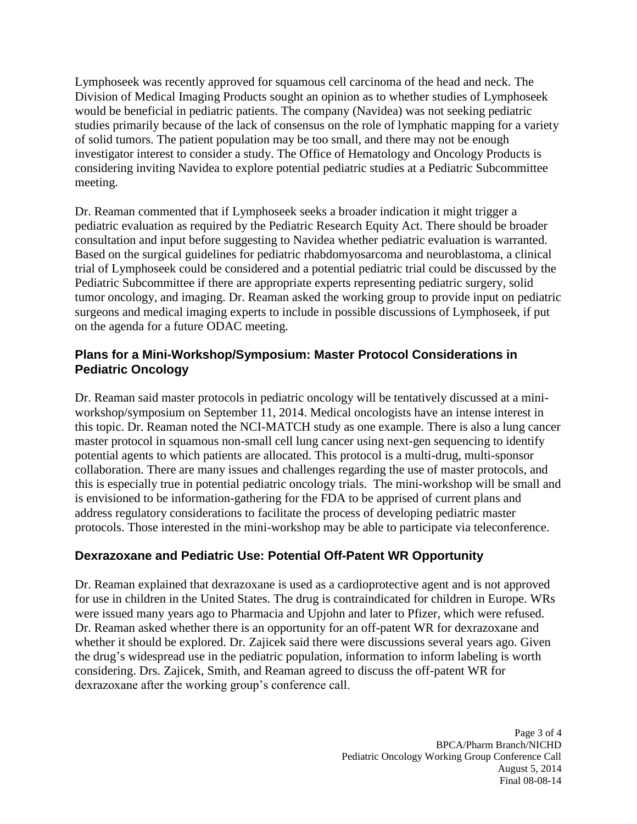Division of Medical Imaging Products sought an opinion as to whether studies of Lymphoseek would be beneficial in pediatric patients. The company (Navidea) was not seeking pediatric studies primarily because of the lack of consensus on the role of lymphatic mapping for a variety Lymphoseek was recently approved for squamous cell carcinoma of the head and neck. The of solid tumors. The patient population may be too small, and there may not be enough investigator interest to consider a study. The Office of Hematology and Oncology Products is considering inviting Navidea to explore potential pediatric studies at a Pediatric Subcommittee meeting.

 pediatric evaluation as required by the Pediatric Research Equity Act. There should be broader consultation and input before suggesting to Navidea whether pediatric evaluation is warranted. Based on the surgical guidelines for pediatric rhabdomyosarcoma and neuroblastoma, a clinical trial of Lymphoseek could be considered and a potential pediatric trial could be discussed by the Pediatric Subcommittee if there are appropriate experts representing pediatric surgery, solid on the agenda for a future ODAC meeting. Dr. Reaman commented that if Lymphoseek seeks a broader indication it might trigger a tumor oncology, and imaging. Dr. Reaman asked the working group to provide input on pediatric surgeons and medical imaging experts to include in possible discussions of Lymphoseek, if put

# **Pediatric Oncology Plans for a Mini-Workshop/Symposium: Master Protocol Considerations in**

 collaboration. There are many issues and challenges regarding the use of master protocols, and this is especially true in potential pediatric oncology trials. The mini-workshop will be small and is envisioned to be information-gathering for the FDA to be apprised of current plans and address regulatory considerations to facilitate the process of developing pediatric master Dr. Reaman said master protocols in pediatric oncology will be tentatively discussed at a miniworkshop/symposium on September 11, 2014. Medical oncologists have an intense interest in this topic. Dr. Reaman noted the NCI-MATCH study as one example. There is also a lung cancer master protocol in squamous non-small cell lung cancer using next-gen sequencing to identify potential agents to which patients are allocated. This protocol is a multi-drug, multi-sponsor protocols. Those interested in the mini-workshop may be able to participate via teleconference.

# **Dexrazoxane and Pediatric Use: Potential Off-Patent WR Opportunity**

 Dr. Reaman explained that dexrazoxane is used as a cardioprotective agent and is not approved were issued many years ago to Pharmacia and Upjohn and later to Pfizer, which were refused. for use in children in the United States. The drug is contraindicated for children in Europe. WRs Dr. Reaman asked whether there is an opportunity for an off-patent WR for dexrazoxane and whether it should be explored. Dr. Zajicek said there were discussions several years ago. Given the drug's widespread use in the pediatric population, information to inform labeling is worth considering. Drs. Zajicek, Smith, and Reaman agreed to discuss the off-patent WR for dexrazoxane after the working group's conference call.